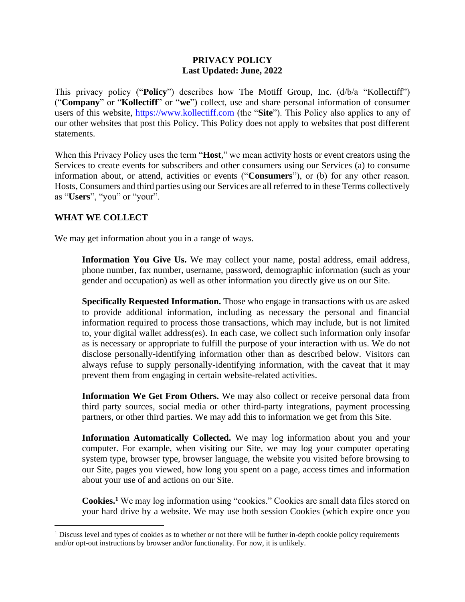#### **PRIVACY POLICY Last Updated: June, 2022**

This privacy policy ("**Policy**") describes how The Motiff Group, Inc. (d/b/a "Kollectiff") ("**Company**" or "**Kollectiff**" or "**we**") collect, use and share personal information of consumer users of this website, [https://www.kollectiff.com](https://www.kollectiff.com/) (the "**Site**"). This Policy also applies to any of our other websites that post this Policy. This Policy does not apply to websites that post different statements.

When this Privacy Policy uses the term "**Host**," we mean activity hosts or event creators using the Services to create events for subscribers and other consumers using our Services (a) to consume information about, or attend, activities or events ("**Consumers**"), or (b) for any other reason. Hosts, Consumers and third parties using our Services are all referred to in these Terms collectively as "**Users**", "you" or "your".

### **WHAT WE COLLECT**

We may get information about you in a range of ways.

**Information You Give Us.** We may collect your name, postal address, email address, phone number, fax number, username, password, demographic information (such as your gender and occupation) as well as other information you directly give us on our Site.

**Specifically Requested Information.** Those who engage in transactions with us are asked to provide additional information, including as necessary the personal and financial information required to process those transactions, which may include, but is not limited to, your digital wallet address(es). In each case, we collect such information only insofar as is necessary or appropriate to fulfill the purpose of your interaction with us. We do not disclose personally-identifying information other than as described below. Visitors can always refuse to supply personally-identifying information, with the caveat that it may prevent them from engaging in certain website-related activities.

**Information We Get From Others.** We may also collect or receive personal data from third party sources, social media or other third-party integrations, payment processing partners, or other third parties. We may add this to information we get from this Site.

**Information Automatically Collected.** We may log information about you and your computer. For example, when visiting our Site, we may log your computer operating system type, browser type, browser language, the website you visited before browsing to our Site, pages you viewed, how long you spent on a page, access times and information about your use of and actions on our Site.

**Cookies.<sup>1</sup>** We may log information using "cookies." Cookies are small data files stored on your hard drive by a website. We may use both session Cookies (which expire once you

<sup>&</sup>lt;sup>1</sup> Discuss level and types of cookies as to whether or not there will be further in-depth cookie policy requirements and/or opt-out instructions by browser and/or functionality. For now, it is unlikely.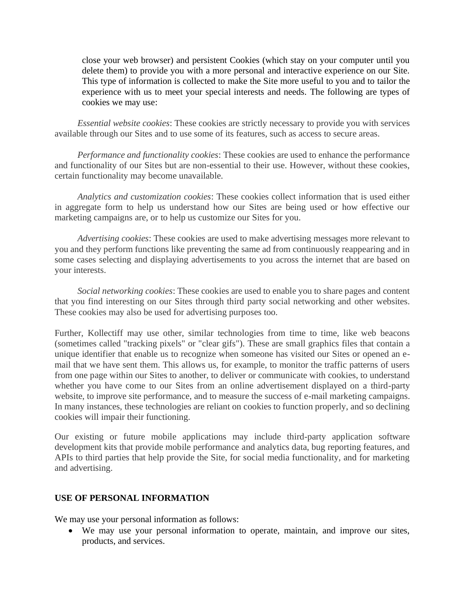close your web browser) and persistent Cookies (which stay on your computer until you delete them) to provide you with a more personal and interactive experience on our Site. This type of information is collected to make the Site more useful to you and to tailor the experience with us to meet your special interests and needs. The following are types of cookies we may use:

*Essential website cookies*: These cookies are strictly necessary to provide you with services available through our Sites and to use some of its features, such as access to secure areas.

*Performance and functionality cookies*: These cookies are used to enhance the performance and functionality of our Sites but are non-essential to their use. However, without these cookies, certain functionality may become unavailable.

*Analytics and customization cookies*: These cookies collect information that is used either in aggregate form to help us understand how our Sites are being used or how effective our marketing campaigns are, or to help us customize our Sites for you.

*Advertising cookies*: These cookies are used to make advertising messages more relevant to you and they perform functions like preventing the same ad from continuously reappearing and in some cases selecting and displaying advertisements to you across the internet that are based on your interests.

*Social networking cookies*: These cookies are used to enable you to share pages and content that you find interesting on our Sites through third party social networking and other websites. These cookies may also be used for advertising purposes too.

Further, Kollectiff may use other, similar technologies from time to time, like web beacons (sometimes called "tracking pixels" or "clear gifs"). These are small graphics files that contain a unique identifier that enable us to recognize when someone has visited our Sites or opened an email that we have sent them. This allows us, for example, to monitor the traffic patterns of users from one page within our Sites to another, to deliver or communicate with cookies, to understand whether you have come to our Sites from an online advertisement displayed on a third-party website, to improve site performance, and to measure the success of e-mail marketing campaigns. In many instances, these technologies are reliant on cookies to function properly, and so declining cookies will impair their functioning.

Our existing or future mobile applications may include third-party application software development kits that provide mobile performance and analytics data, bug reporting features, and APIs to third parties that help provide the Site, for social media functionality, and for marketing and advertising.

#### **USE OF PERSONAL INFORMATION**

We may use your personal information as follows:

• We may use your personal information to operate, maintain, and improve our sites, products, and services.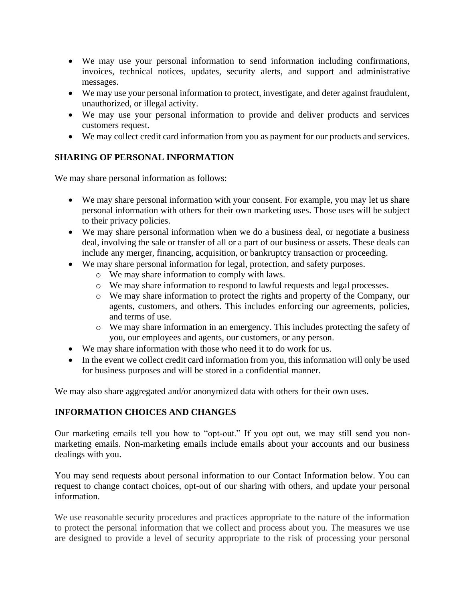- We may use your personal information to send information including confirmations, invoices, technical notices, updates, security alerts, and support and administrative messages.
- We may use your personal information to protect, investigate, and deter against fraudulent, unauthorized, or illegal activity.
- We may use your personal information to provide and deliver products and services customers request.
- We may collect credit card information from you as payment for our products and services.

# **SHARING OF PERSONAL INFORMATION**

We may share personal information as follows:

- We may share personal information with your consent. For example, you may let us share personal information with others for their own marketing uses. Those uses will be subject to their privacy policies.
- We may share personal information when we do a business deal, or negotiate a business deal, involving the sale or transfer of all or a part of our business or assets. These deals can include any merger, financing, acquisition, or bankruptcy transaction or proceeding.
- We may share personal information for legal, protection, and safety purposes.
	- o We may share information to comply with laws.
	- o We may share information to respond to lawful requests and legal processes.
	- o We may share information to protect the rights and property of the Company, our agents, customers, and others. This includes enforcing our agreements, policies, and terms of use.
	- o We may share information in an emergency. This includes protecting the safety of you, our employees and agents, our customers, or any person.
- We may share information with those who need it to do work for us.
- In the event we collect credit card information from you, this information will only be used for business purposes and will be stored in a confidential manner.

We may also share aggregated and/or anonymized data with others for their own uses.

# **INFORMATION CHOICES AND CHANGES**

Our marketing emails tell you how to "opt-out." If you opt out, we may still send you nonmarketing emails. Non-marketing emails include emails about your accounts and our business dealings with you.

You may send requests about personal information to our Contact Information below. You can request to change contact choices, opt-out of our sharing with others, and update your personal information.

We use reasonable security procedures and practices appropriate to the nature of the information to protect the personal information that we collect and process about you. The measures we use are designed to provide a level of security appropriate to the risk of processing your personal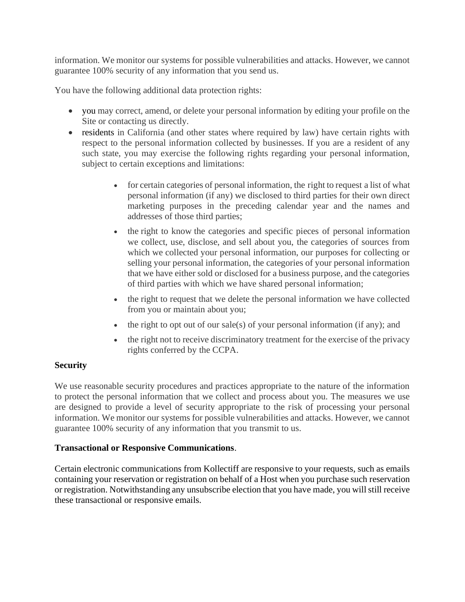information. We monitor our systems for possible vulnerabilities and attacks. However, we cannot guarantee 100% security of any information that you send us.

You have the following additional data protection rights:

- you may correct, amend, or delete your personal information by editing your profile on the Site or contacting us directly.
- residents in California (and other states where required by law) have certain rights with respect to the personal information collected by businesses. If you are a resident of any such state, you may exercise the following rights regarding your personal information, subject to certain exceptions and limitations:
	- for certain categories of personal information, the right to request a list of what personal information (if any) we disclosed to third parties for their own direct marketing purposes in the preceding calendar year and the names and addresses of those third parties;
	- the right to know the categories and specific pieces of personal information we collect, use, disclose, and sell about you, the categories of sources from which we collected your personal information, our purposes for collecting or selling your personal information, the categories of your personal information that we have either sold or disclosed for a business purpose, and the categories of third parties with which we have shared personal information;
	- the right to request that we delete the personal information we have collected from you or maintain about you;
	- the right to opt out of our sale(s) of your personal information (if any); and
	- the right not to receive discriminatory treatment for the exercise of the privacy rights conferred by the CCPA.

# **Security**

We use reasonable security procedures and practices appropriate to the nature of the information to protect the personal information that we collect and process about you. The measures we use are designed to provide a level of security appropriate to the risk of processing your personal information. We monitor our systems for possible vulnerabilities and attacks. However, we cannot guarantee 100% security of any information that you transmit to us.

# **Transactional or Responsive Communications**.

Certain electronic communications from Kollectiff are responsive to your requests, such as emails containing your reservation or registration on behalf of a Host when you purchase such reservation or registration. Notwithstanding any unsubscribe election that you have made, you will still receive these transactional or responsive emails.